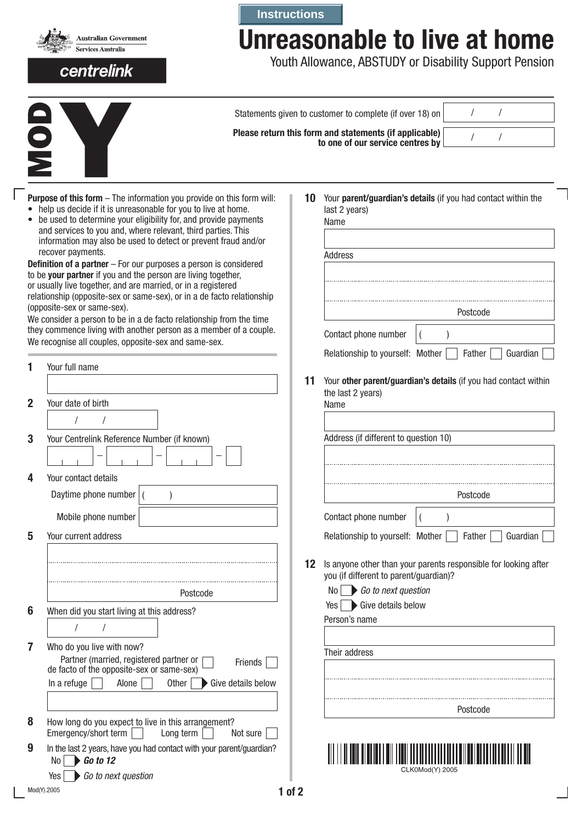

## centrelink

## **Instructions**

## **Unreasonable to live at home**

Youth Allowance, ABSTUDY or Disability Support Pension

|                                                                                                                                                                                                                                                                                                                                                                                                                                                                                                                                                                                                                                                                                                                                                                           |                                                                                                                                                        |         | Statements given to customer to complete (if over 18) on                                            |          |          |
|---------------------------------------------------------------------------------------------------------------------------------------------------------------------------------------------------------------------------------------------------------------------------------------------------------------------------------------------------------------------------------------------------------------------------------------------------------------------------------------------------------------------------------------------------------------------------------------------------------------------------------------------------------------------------------------------------------------------------------------------------------------------------|--------------------------------------------------------------------------------------------------------------------------------------------------------|---------|-----------------------------------------------------------------------------------------------------|----------|----------|
|                                                                                                                                                                                                                                                                                                                                                                                                                                                                                                                                                                                                                                                                                                                                                                           |                                                                                                                                                        |         | Please return this form and statements (if applicable)<br>to one of our service centres by          |          |          |
| <b>Purpose of this form</b> - The information you provide on this form will:<br>help us decide if it is unreasonable for you to live at home.<br>• be used to determine your eligibility for, and provide payments<br>and services to you and, where relevant, third parties. This<br>information may also be used to detect or prevent fraud and/or<br>recover payments.<br><b>Definition of a partner</b> $-$ For our purposes a person is considered<br>to be your partner if you and the person are living together,<br>or usually live together, and are married, or in a registered<br>relationship (opposite-sex or same-sex), or in a de facto relationship<br>(opposite-sex or same-sex).<br>We consider a person to be in a de facto relationship from the time |                                                                                                                                                        | 10      | Your parent/guardian's details (if you had contact within the<br>last 2 years)<br>Name<br>Address   | Postcode |          |
|                                                                                                                                                                                                                                                                                                                                                                                                                                                                                                                                                                                                                                                                                                                                                                           | they commence living with another person as a member of a couple.<br>We recognise all couples, opposite-sex and same-sex.                              |         | Contact phone number<br>Relationship to yourself: Mother                                            | Father   | Guardian |
|                                                                                                                                                                                                                                                                                                                                                                                                                                                                                                                                                                                                                                                                                                                                                                           | Your full name                                                                                                                                         | 11      | Your other parent/guardian's details (if you had contact within                                     |          |          |
| $\mathbf{2}$                                                                                                                                                                                                                                                                                                                                                                                                                                                                                                                                                                                                                                                                                                                                                              | Your date of birth                                                                                                                                     |         | the last 2 years)<br>Name                                                                           |          |          |
| 3                                                                                                                                                                                                                                                                                                                                                                                                                                                                                                                                                                                                                                                                                                                                                                         | Your Centrelink Reference Number (if known)                                                                                                            |         | Address (if different to question 10)                                                               |          |          |
| 4                                                                                                                                                                                                                                                                                                                                                                                                                                                                                                                                                                                                                                                                                                                                                                         | Your contact details<br>Daytime phone number<br>Mobile phone number                                                                                    |         | Contact phone number                                                                                | Postcode |          |
| 5                                                                                                                                                                                                                                                                                                                                                                                                                                                                                                                                                                                                                                                                                                                                                                         | Your current address                                                                                                                                   | $12 \,$ | Relationship to yourself: Mother<br>Is anyone other than your parents responsible for looking after | Father   | Guardian |
| 6                                                                                                                                                                                                                                                                                                                                                                                                                                                                                                                                                                                                                                                                                                                                                                         | Postcode<br>When did you start living at this address?                                                                                                 |         | you (if different to parent/guardian)?<br>Go to next question<br>No.<br>Give details below<br>Yes   |          |          |
| 7                                                                                                                                                                                                                                                                                                                                                                                                                                                                                                                                                                                                                                                                                                                                                                         | Who do you live with now?                                                                                                                              |         | Person's name                                                                                       |          |          |
|                                                                                                                                                                                                                                                                                                                                                                                                                                                                                                                                                                                                                                                                                                                                                                           | Partner (married, registered partner or<br>Friends<br>de facto of the opposite-sex or same-sex)<br>In a refuge<br>Alone<br>Other<br>Give details below |         | Their address                                                                                       |          |          |
| 8                                                                                                                                                                                                                                                                                                                                                                                                                                                                                                                                                                                                                                                                                                                                                                         | How long do you expect to live in this arrangement?<br>Emergency/short term<br>Long term<br>Not sure                                                   |         |                                                                                                     | Postcode |          |
| 9                                                                                                                                                                                                                                                                                                                                                                                                                                                                                                                                                                                                                                                                                                                                                                         | In the last 2 years, have you had contact with your parent/guardian?<br>$\triangleright$ Go to 12<br>No                                                |         | CLK0Mod(Y) 2005                                                                                     |          |          |
|                                                                                                                                                                                                                                                                                                                                                                                                                                                                                                                                                                                                                                                                                                                                                                           | Go to next question<br>Yes<br>Mod(Y).2005<br>$1$ of $2$                                                                                                |         |                                                                                                     |          |          |